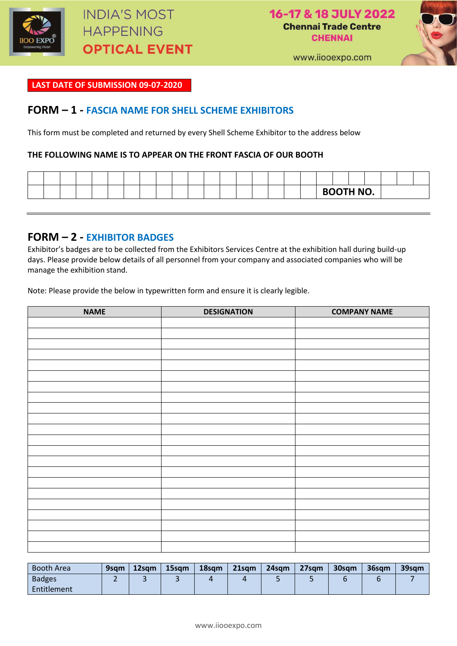

16-17 & 18 JULY 2022 **Chennai Trade Centre CHENNAI** 



www.iiooexpo.com

#### **LAST DATE OF SUBMISSION 09-07-2020**

### **FORM – 1 - FASCIA NAME FOR SHELL SCHEME EXHIBITORS**

This form must be completed and returned by every Shell Scheme Exhibitor to the address below

#### **THE FOLLOWING NAME IS TO APPEAR ON THE FRONT FASCIA OF OUR BOOTH**

|  |  |  |  |  |  |  |  |  | <b>BOOTH NO.</b> |  |  |  |
|--|--|--|--|--|--|--|--|--|------------------|--|--|--|

## **FORM – 2 - EXHIBITOR BADGES**

Exhibitor's badges are to be collected from the Exhibitors Services Centre at the exhibition hall during build-up days. Please provide below details of all personnel from your company and associated companies who will be manage the exhibition stand.

Note: Please provide the below in typewritten form and ensure it is clearly legible.

| <b>NAME</b> | <b>DESIGNATION</b> | <b>COMPANY NAME</b> |
|-------------|--------------------|---------------------|
|             |                    |                     |
|             |                    |                     |
|             |                    |                     |
|             |                    |                     |
|             |                    |                     |
|             |                    |                     |
|             |                    |                     |
|             |                    |                     |
|             |                    |                     |
|             |                    |                     |
|             |                    |                     |
|             |                    |                     |
|             |                    |                     |
|             |                    |                     |
|             |                    |                     |
|             |                    |                     |
|             |                    |                     |
|             |                    |                     |
|             |                    |                     |
|             |                    |                     |
|             |                    |                     |
|             |                    |                     |

| <b>Booth Area</b> | 9sam | 12sam | 15sam | 18sam | $21$ sqm | 24sam | 27sqm | 30sam | 36sqm | 39sgm |
|-------------------|------|-------|-------|-------|----------|-------|-------|-------|-------|-------|
| <b>Badges</b>     |      |       |       |       |          |       |       |       |       |       |
| Entitlement       |      |       |       |       |          |       |       |       |       |       |